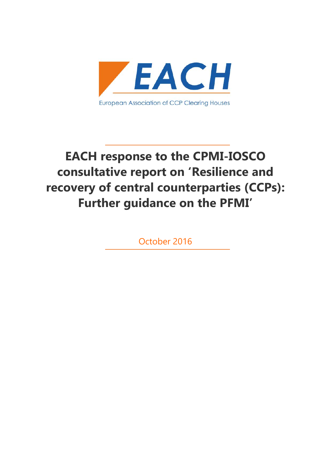

# **EACH response to the CPMI-IOSCO consultative report on 'Resilience and recovery of central counterparties (CCPs): Further guidance on the PFMI'**

October 2016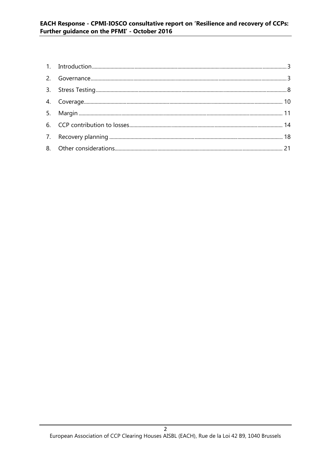#### EACH Response - CPMI-IOSCO consultative report on 'Resilience and recovery of CCPs: Further guidance on the PFMI' - October 2016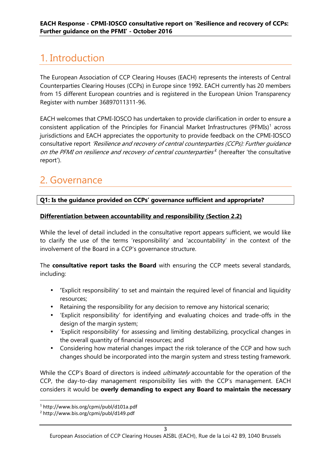## 1. Introduction

The European Association of CCP Clearing Houses (EACH) represents the interests of Central Counterparties Clearing Houses (CCPs) in Europe since 1992. EACH currently has 20 members from 15 different European countries and is registered in the European Union Transparency Register with number 36897011311-96.

EACH welcomes that CPMI-IOSCO has undertaken to provide clarification in order to ensure a consistent application of the Principles for Financial Market Infrastructures (PFMIs)<sup>1</sup> across jurisdictions and EACH appreciates the opportunity to provide feedback on the CPMI-IOSCO consultative report *'Resilience and recovery of central counterparties (CCPs): Further guidance on the PFMI on resilience and recovery of central counterparties'*<sup>2</sup> (hereafter 'the consultative report').

### 2. Governance

#### **Q1: Is the guidance provided on CCPs' governance sufficient and appropriate?**

#### **Differentiation between accountability and responsibility (Section 2.2)**

While the level of detail included in the consultative report appears sufficient, we would like to clarify the use of the terms 'responsibility' and 'accountability' in the context of the involvement of the Board in a CCP's governance structure.

The **consultative report tasks the Board** with ensuring the CCP meets several standards, including:

- **'**Explicit responsibility' to set and maintain the required level of financial and liquidity resources;
- Retaining the responsibility for any decision to remove any historical scenario;
- 'Explicit responsibility' for identifying and evaluating choices and trade-offs in the design of the margin system;
- 'Explicit responsibility' for assessing and limiting destabilizing, procyclical changes in the overall quantity of financial resources; and
- Considering how material changes impact the risk tolerance of the CCP and how such changes should be incorporated into the margin system and stress testing framework.

While the CCP's Board of directors is indeed *ultimately* accountable for the operation of the CCP, the day-to-day management responsibility lies with the CCP's management. EACH considers it would be **overly demanding to expect any Board to maintain the necessary**

<sup>1</sup> http://www.bis.org/cpmi/publ/d101a.pdf

<sup>2</sup> http://www.bis.org/cpmi/publ/d149.pdf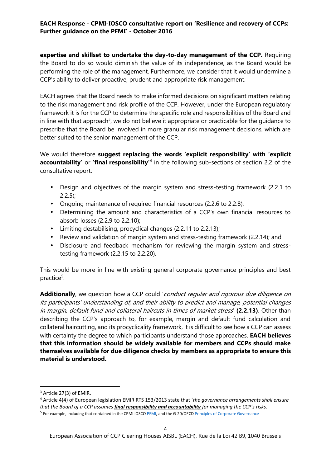**expertise and skillset to undertake the day-to-day management of the CCP.** Requiring the Board to do so would diminish the value of its independence, as the Board would be performing the role of the management. Furthermore, we consider that it would undermine a CCP's ability to deliver proactive, prudent and appropriate risk management.

EACH agrees that the Board needs to make informed decisions on significant matters relating to the risk management and risk profile of the CCP. However, under the European regulatory framework it is for the CCP to determine the specific role and responsibilities of the Board and in line with that approach<sup>3</sup>, we do not believe it appropriate or practicable for the guidance to prescribe that the Board be involved in more granular risk management decisions, which are better suited to the senior management of the CCP.

We would therefore **suggest replacing the words 'explicit responsibility' with 'explicit accountability'** or **'final responsibility'<sup>4</sup>** in the following sub-sections of section 2.2 of the consultative report:

- Design and objectives of the margin system and stress-testing framework (2.2.1 to  $2.2.5$ );
- Ongoing maintenance of required financial resources (2.2.6 to 2.2.8);
- Determining the amount and characteristics of a CCP's own financial resources to absorb losses (2.2.9 to 2.2.10);
- Limiting destabilising, procyclical changes (2.2.11 to 2.2.13);
- Review and validation of margin system and stress-testing framework (2.2.14); and
- Disclosure and feedback mechanism for reviewing the margin system and stresstesting framework (2.2.15 to 2.2.20).

This would be more in line with existing general corporate governance principles and best practice<sup>5</sup>.

**Additionally**, we question how a CCP could '*conduct regular and rigorous due diligence on its participants' understanding of, and their ability to predict and manage, potential changes in margin, default fund and collateral haircuts in times of market stress*' **(2.2.13)**. Other than describing the CCP's approach to, for example, margin and default fund calculation and collateral haircutting, and its procyclicality framework, it is difficult to see how a CCP can assess with certainty the degree to which participants understand those approaches. **EACH believes that this information should be widely available for members and CCPs should make themselves available for due diligence checks by members as appropriate to ensure this material is understood.**

<sup>&</sup>lt;sup>3</sup> Article 27(3) of EMIR.

<sup>4</sup> Article 4(4) of European legislation EMIR RTS 153/2013 state that '*the governance arrangements shall ensure that the Board of a CCP assumes final responsibility and accountability for managing the CCP's risks.*'

<sup>5</sup> For example, including that contained in the CPMI IOSCO PFMI, and the G-20/OECD Principles of Corporate Governance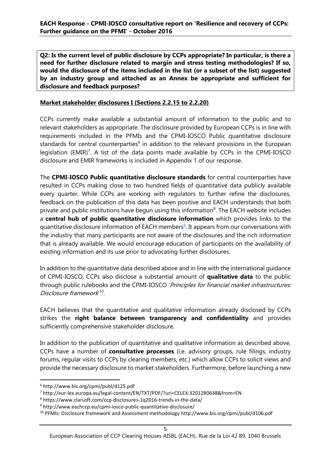**Q2: Is the current level of public disclosure by CCPs appropriate? In particular, is there a need for further disclosure related to margin and stress testing methodologies? If so, would the disclosure of the items included in the list (or a subset of the list) suggested by an industry group and attached as an Annex be appropriate and sufficient for disclosure and feedback purposes?**

#### **Market stakeholder disclosures I (Sections 2.2.15 to 2.2.20)**

CCPs currently make available a substantial amount of information to the public and to relevant stakeholders as appropriate. The disclosure provided by European CCPs is in line with requirements included in the PFMIs and the CPMI-IOSCO Public quantitative disclosure standards for central counterparties $^6$  in addition to the relevant provisions in the European legislation (EMIR)<sup>7</sup>. A list of the data points made available by CCPs in the CPMI-IOSCO disclosure and EMIR frameworks is included in Appendix 1 of our response.

The **CPMI-IOSCO Public quantitative disclosure standards** for central counterparties have resulted in CCPs making close to two hundred fields of quantitative data publicly available every quarter. While CCPs are working with regulators to further refine the disclosures, feedback on the publication of this data has been positive and EACH understands that both private and public institutions have begun using this information $^8$ . The EACH website includes a **central hub of public quantitative disclosure information** which provides links to the quantitative disclosure information of EACH members<sup>9</sup>. It appears from our conversations with the industry that many participants are not aware of the disclosures and the rich information that is already available. We would encourage education of participants on the availability of existing information and its use prior to advocating further disclosures.

In addition to the quantitative data described above and in line with the international guidance of CPMI-IOSCO, CCPs also disclose a substantial amount of **qualitative data** to the public through public rulebooks and the CPMI-IOSCO '*Principles for financial market infrastructures: Disclosure framework*'<sup>10</sup> .

EACH believes that the quantitative and qualitative information already disclosed by CCPs strikes the **right balance between transparency and confidentiality** and provides sufficiently comprehensive stakeholder disclosure.

In addition to the publication of quantitative and qualitative information as described above, CCPs have a number of **consultative processes** (i.e. advisory groups, rule filings, industry forums, regular visits to CCPs by clearing members, etc.) which allow CCPs to solicit views and provide the necessary disclosure to market stakeholders. Furthermore, before launching a new

<sup>6</sup> http://www.bis.org/cpmi/publ/d125.pdf

<sup>7</sup> http://eur-lex.europa.eu/legal-content/EN/TXT/PDF/?uri=CELEX:32012R0648&from=EN

<sup>8</sup> https://www.clarusft.com/ccp-disclosures-1q2016-trends-in-the-data/

<sup>9</sup> http://www.eachccp.eu/cpmi-iosco-public-quantitative-disclosure/

<sup>10</sup> PFMIs: Disclosure framework and Assessment methodology http://www.bis.org/cpmi/publ/d106.pdf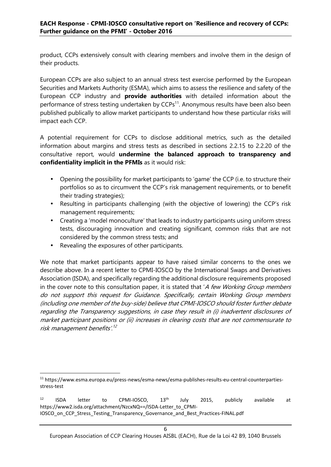product, CCPs extensively consult with clearing members and involve them in the design of their products.

European CCPs are also subject to an annual stress test exercise performed by the European Securities and Markets Authority (ESMA), which aims to assess the resilience and safety of the European CCP industry and **provide authorities** with detailed information about the performance of stress testing undertaken by CCPs<sup>11</sup>. Anonymous results have been also been published publically to allow market participants to understand how these particular risks will impact each CCP.

A potential requirement for CCPs to disclose additional metrics, such as the detailed information about margins and stress tests as described in sections 2.2.15 to 2.2.20 of the consultative report, would **undermine the balanced approach to transparency and confidentiality implicit in the PFMIs** as it would risk:

- Opening the possibility for market participants to 'game' the CCP (i.e. to structure their portfolios so as to circumvent the CCP's risk management requirements, or to benefit their trading strategies);
- Resulting in participants challenging (with the objective of lowering) the CCP's risk management requirements;
- Creating a 'model monoculture' that leads to industry participants using uniform stress tests, discouraging innovation and creating significant, common risks that are not considered by the common stress tests; and
- Revealing the exposures of other participants.

We note that market participants appear to have raised similar concerns to the ones we describe above. In a recent letter to CPMI-IOSCO by the International Swaps and Derivatives Association (ISDA), and specifically regarding the additional disclosure requirements proposed in the cover note to this consultation paper, it is stated that '*A few Working Group members do not support this request for Guidance. Specifically, certain Working Group members (including one member of the buy-side) believe that CPMI-IOSCO should foster further debate regarding the Transparency suggestions, in case they result in (i) inadvertent disclosures of market participant positions or (ii) increases in clearing costs that are not commensurate to risk management benefits'.<sup>12</sup>*

<sup>11</sup> https://www.esma.europa.eu/press-news/esma-news/esma-publishes-results-eu-central-counterparties stress-test

 $12$  ISDA letter to CPMI-IOSCO,  $13<sup>th</sup>$  July 2015, publicly available at https://www2.isda.org/attachment/NzcxNQ==/ISDA-Letter\_to\_CPMI-IOSCO\_on\_CCP\_Stress\_Testing\_Transparency\_Governance\_and\_Best\_Practices-FINAL.pdf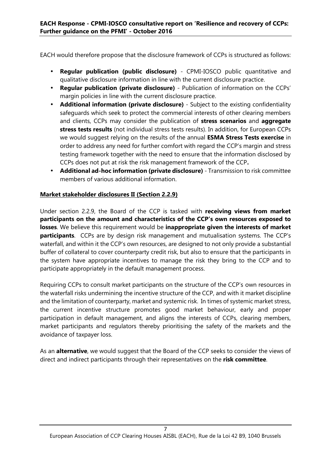EACH would therefore propose that the disclosure framework of CCPs is structured as follows:

- **Regular publication (public disclosure)** CPMI-IOSCO public quantitative and qualitative disclosure information in line with the current disclosure practice.
- **Regular publication (private disclosure)** Publication of information on the CCPs' margin policies in line with the current disclosure practice.
- **Additional information (private disclosure)** Subject to the existing confidentiality safeguards which seek to protect the commercial interests of other clearing members and clients, CCPs may consider the publication of **stress scenarios** and **aggregate stress tests results** (not individual stress tests results). In addition, for European CCPs we would suggest relying on the results of the annual **ESMA Stress Tests exercise** in order to address any need for further comfort with regard the CCP's margin and stress testing framework together with the need to ensure that the information disclosed by CCPs does not put at risk the risk management framework of the CCP**.**
- **Additional ad-hoc information (private disclosure)** Transmission to risk committee members of various additional information.

#### **Market stakeholder disclosures II (Section 2.2.9)**

Under section 2.2.9, the Board of the CCP is tasked with **receiving views from market participants on the amount and characteristics of the CCP's own resources exposed to losses**. We believe this requirement would be **inappropriate given the interests of market participants**. CCPs are by design risk management and mutualisation systems. The CCP's waterfall, and within it the CCP's own resources, are designed to not only provide a substantial buffer of collateral to cover counterparty credit risk, but also to ensure that the participants in the system have appropriate incentives to manage the risk they bring to the CCP and to participate appropriately in the default management process.

Requiring CCPs to consult market participants on the structure of the CCP's own resources in the waterfall risks undermining the incentive structure of the CCP, and with it market discipline and the limitation of counterparty, market and systemic risk. In times of systemic market stress, the current incentive structure promotes good market behaviour, early and proper participation in default management, and aligns the interests of CCPs, clearing members, market participants and regulators thereby prioritising the safety of the markets and the avoidance of taxpayer loss.

As an **alternative**, we would suggest that the Board of the CCP seeks to consider the views of direct and indirect participants through their representatives on the **risk committee**.

#### 7 European Association of CCP Clearing Houses AISBL (EACH), Rue de la Loi 42 B9, 1040 Brussels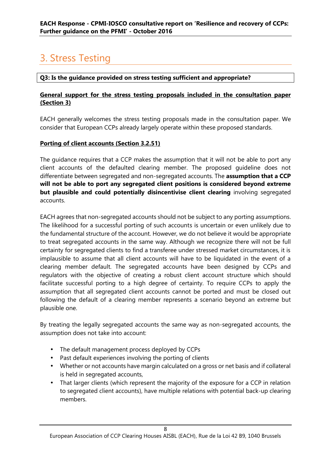## 3. Stress Testing

#### **Q3: Is the guidance provided on stress testing sufficient and appropriate?**

#### **General support for the stress testing proposals included in the consultation paper (Section 3)**

EACH generally welcomes the stress testing proposals made in the consultation paper. We consider that European CCPs already largely operate within these proposed standards.

#### **Porting of client accounts (Section 3.2.51)**

The guidance requires that a CCP makes the assumption that it will not be able to port any client accounts of the defaulted clearing member. The proposed guideline does not differentiate between segregated and non-segregated accounts. The **assumption that a CCP will not be able to port any segregated client positions is considered beyond extreme but plausible and could potentially disincentivise client clearing** involving segregated accounts.

EACH agrees that non-segregated accounts should not be subject to any porting assumptions. The likelihood for a successful porting of such accounts is uncertain or even unlikely due to the fundamental structure of the account. However, we do not believe it would be appropriate to treat segregated accounts in the same way. Although we recognize there will not be full certainty for segregated clients to find a transferee under stressed market circumstances, it is implausible to assume that all client accounts will have to be liquidated in the event of a clearing member default. The segregated accounts have been designed by CCPs and regulators with the objective of creating a robust client account structure which should facilitate successful porting to a high degree of certainty. To require CCPs to apply the assumption that all segregated client accounts cannot be ported and must be closed out following the default of a clearing member represents a scenario beyond an extreme but plausible one.

By treating the legally segregated accounts the same way as non-segregated accounts, the assumption does not take into account:

- The default management process deployed by CCPs
- Past default experiences involving the porting of clients
- Whether or not accounts have margin calculated on a gross or net basis and if collateral is held in segregated accounts,
- That larger clients (which represent the majority of the exposure for a CCP in relation to segregated client accounts), have multiple relations with potential back-up clearing members.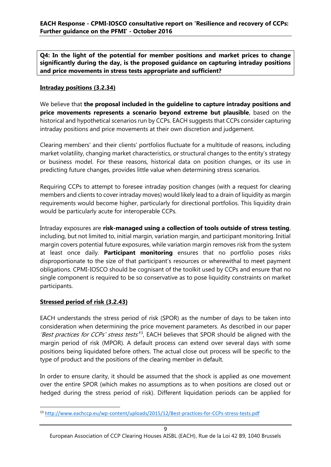**Q4: In the light of the potential for member positions and market prices to change significantly during the day, is the proposed guidance on capturing intraday positions and price movements in stress tests appropriate and sufficient?**

#### **Intraday positions (3.2.34)**

We believe that **the proposal included in the guideline to capture intraday positions and price movements represents a scenario beyond extreme but plausible**, based on the historical and hypothetical scenarios run by CCPs. EACH suggests that CCPs consider capturing intraday positions and price movements at their own discretion and judgement.

Clearing members' and their clients' portfolios fluctuate for a multitude of reasons, including market volatility, changing market characteristics, or structural changes to the entity's strategy or business model. For these reasons, historical data on position changes, or its use in predicting future changes, provides little value when determining stress scenarios.

Requiring CCPs to attempt to foresee intraday position changes (with a request for clearing members and clients to cover intraday moves) would likely lead to a drain of liquidity as margin requirements would become higher, particularly for directional portfolios. This liquidity drain would be particularly acute for interoperable CCPs.

Intraday exposures are **risk-managed using a collection of tools outside of stress testing**, including, but not limited to, initial margin, variation margin, and participant monitoring. Initial margin covers potential future exposures, while variation margin removes risk from the system at least once daily. **Participant monitoring** ensures that no portfolio poses risks disproportionate to the size of that participant's resources or wherewithal to meet payment obligations. CPMI-IOSCO should be cognisant of the toolkit used by CCPs and ensure that no single component is required to be so conservative as to pose liquidity constraints on market participants.

#### **Stressed period of risk (3.2.43)**

EACH understands the stress period of risk (SPOR) as the number of days to be taken into consideration when determining the price movement parameters. As described in our paper *'Best practices for CCPs' stress tests'*<sup>13</sup> , EACH believes that SPOR should be aligned with the margin period of risk (MPOR). A default process can extend over several days with some positions being liquidated before others. The actual close out process will be specific to the type of product and the positions of the clearing member in default.

In order to ensure clarity, it should be assumed that the shock is applied as one movement over the entire SPOR (which makes no assumptions as to when positions are closed out or hedged during the stress period of risk). Different liquidation periods can be applied for

<sup>13</sup> http://www.eachccp.eu/wp-content/uploads/2015/12/Best-practices-for-CCPs-stress-tests.pdf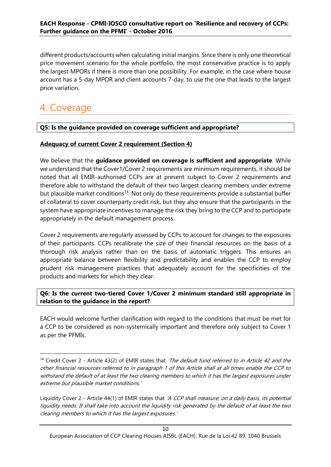different products/accounts when calculating initial margins. Since there is only one theoretical price movement scenario for the whole portfolio, the most conservative practice is to apply the largest MPORs if there is more than one possibility. For example, in the case where house account has a 5-day MPOR and client accounts 7-day, to use the one that leads to the largest price variation.

### 4. Coverage

#### **Q5: Is the guidance provided on coverage sufficient and appropriate?**

#### **Adequacy of current Cover 2 requirement (Section 4)**

We believe that the **guidance provided on coverage is sufficient and appropriate**. While we understand that the Cover1/Cover 2 requirements are minimum requirements, it should be noted that all EMIR-authorised CCPs are at present subject to Cover 2 requirements and therefore able to withstand the default of their two largest clearing members under extreme but plausible market conditions<sup>14</sup>. Not only do these requirements provide a substantial buffer of collateral to cover counterparty credit risk, but they also ensure that the participants in the system have appropriate incentives to manage the risk they bring to the CCP and to participate appropriately in the default management process.

Cover 2 requirements are regularly assessed by CCPs to account for changes to the exposures of their participants. CCPs recalibrate the size of their financial resources on the basis of a thorough risk analysis rather than on the basis of automatic triggers. This ensures an appropriate balance between flexibility and predictability and enables the CCP to employ prudent risk management practices that adequately account for the specificities of the products and markets for which they clear.

#### **Q6: Is the current two-tiered Cover 1/Cover 2 minimum standard still appropriate in relation to the guidance in the report?**

EACH would welcome further clarification with regard to the conditions that must be met for a CCP to be considered as non-systemically important and therefore only subject to Cover 1 as per the PFMIs.

<sup>14</sup> Credit Cover 2 - Article 43(2) of EMIR states that *'The default fund referred to in Article 42 and the other financial resources referred to in paragraph 1 of this Article shall at all times enable the CCP to withstand the default of at least the two clearing members to which it has the largest exposures under extreme but plausible market conditions.'*

Liquidity Cover 2 - Article 44(1) of EMIR states that *'A CCP shall measure, on a daily basis, its potential liquidity needs. It shall take into account the liquidity risk generated by the default of at least the two clearing members to which it has the largest exposures.'*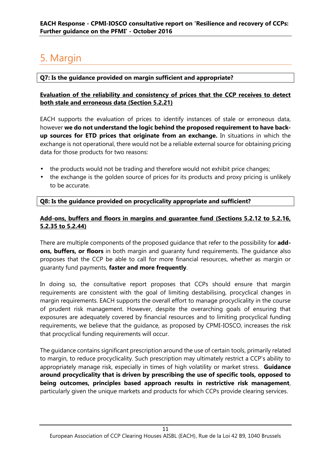## 5. Margin

#### **Q7: Is the guidance provided on margin sufficient and appropriate?**

#### **Evaluation of the reliability and consistency of prices that the CCP receives to detect both stale and erroneous data (Section 5.2.21)**

EACH supports the evaluation of prices to identify instances of stale or erroneous data, however **we do not understand the logic behind the proposed requirement to have back up sources for ETD prices that originate from an exchange.** In situations in which the exchange is not operational, there would not be a reliable external source for obtaining pricing data for those products for two reasons:

- the products would not be trading and therefore would not exhibit price changes;
- the exchange is the golden source of prices for its products and proxy pricing is unlikely to be accurate.

#### **Q8: Is the guidance provided on procyclicality appropriate and sufficient?**

#### **Add-ons, buffers and floors in margins and guarantee fund (Sections 5.2.12 to 5.2.16, 5.2.35 to 5.2.44)**

There are multiple components of the proposed guidance that refer to the possibility for **add ons, buffers, or floors** in both margin and guaranty fund requirements. The guidance also proposes that the CCP be able to call for more financial resources, whether as margin or guaranty fund payments, **faster and more frequently**.

In doing so, the consultative report proposes that CCPs should ensure that margin requirements are consistent with the goal of limiting destabilising, procyclical changes in margin requirements. EACH supports the overall effort to manage procyclicality in the course of prudent risk management. However, despite the overarching goals of ensuring that exposures are adequately covered by financial resources and to limiting procyclical funding requirements, we believe that the guidance, as proposed by CPMI-IOSCO, increases the risk that procyclical funding requirements will occur.

The guidance contains significant prescription around the use of certain tools, primarily related to margin, to reduce procyclicality. Such prescription may ultimately restrict a CCP's ability to appropriately manage risk, especially in times of high volatility or market stress. **Guidance around procyclicality that is driven by prescribing the use of specific tools, opposed to being outcomes, principles based approach results in restrictive risk management**, particularly given the unique markets and products for which CCPs provide clearing services.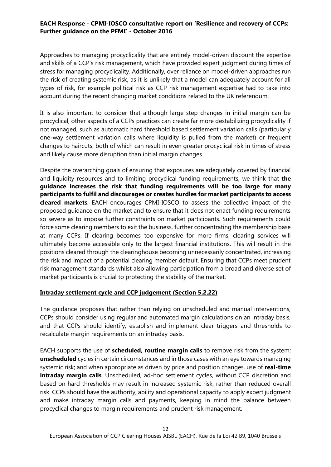Approaches to managing procyclicality that are entirely model-driven discount the expertise and skills of a CCP's risk management, which have provided expert judgment during times of stress for managing procyclicality. Additionally, over reliance on model-driven approaches run the risk of creating systemic risk, as it is unlikely that a model can adequately account for all types of risk, for example political risk as CCP risk management expertise had to take into account during the recent changing market conditions related to the UK referendum.

It is also important to consider that although large step changes in initial margin can be procyclical, other aspects of a CCPs practices can create far more destabilizing procyclicality if not managed, such as automatic hard threshold based settlement variation calls (particularly one-way settlement variation calls where liquidity is pulled from the market) or frequent changes to haircuts, both of which can result in even greater procyclical risk in times of stress and likely cause more disruption than initial margin changes.

Despite the overarching goals of ensuring that exposures are adequately covered by financial and liquidity resources and to limiting procyclical funding requirements, we think that **the guidance increases the risk that funding requirements will be too large for many participants to fulfil and discourages or creates hurdles for market participants to access cleared markets**. EACH encourages CPMI-IOSCO to assess the collective impact of the proposed guidance on the market and to ensure that it does not enact funding requirements so severe as to impose further constraints on market participants. Such requirements could force some clearing members to exit the business, further concentrating the membership base at many CCPs. If clearing becomes too expensive for more firms, clearing services will ultimately become accessible only to the largest financial institutions. This will result in the positions cleared through the clearinghouse becoming unnecessarily concentrated, increasing the risk and impact of a potential clearing member default. Ensuring that CCPs meet prudent risk management standards whilst also allowing participation from a broad and diverse set of market participants is crucial to protecting the stability of the market.

#### **Intraday settlement cycle and CCP judgement (Section 5.2.22)**

The guidance proposes that rather than relying on unscheduled and manual interventions, CCPs should consider using regular and automated margin calculations on an intraday basis, and that CCPs should identify, establish and implement clear triggers and thresholds to recalculate margin requirements on an intraday basis.

EACH supports the use of **scheduled, routine margin calls** to remove risk from the system; **unscheduled** cycles in certain circumstances and in those cases with an eye towards managing systemic risk; and when appropriate as driven by price and position changes, use of **real-time intraday margin calls**. Unscheduled, ad-hoc settlement cycles, without CCP discretion and based on hard thresholds may result in increased systemic risk, rather than reduced overall risk. CCPs should have the authority, ability and operational capacity to apply expert judgment and make intraday margin calls and payments, keeping in mind the balance between procyclical changes to margin requirements and prudent risk management.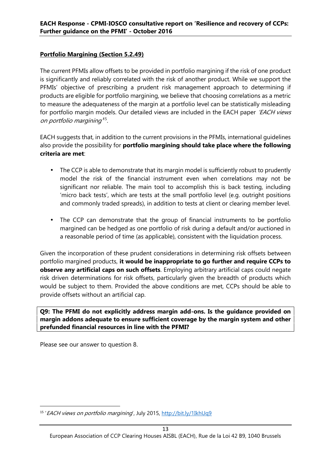#### **Portfolio Margining (Section 5.2.49)**

The current PFMIs allow offsets to be provided in portfolio margining if the risk of one product is significantly and reliably correlated with the risk of another product. While we support the PFMIs' objective of prescribing a prudent risk management approach to determining if products are eligible for portfolio margining, we believe that choosing correlations as a metric to measure the adequateness of the margin at a portfolio level can be statistically misleading for portfolio margin models. Our detailed views are included in the EACH paper *'EACH views on portfolio margining'*<sup>15</sup> .

EACH suggests that, in addition to the current provisions in the PFMIs, international guidelines also provide the possibility for **portfolio margining should take place where the following criteria are met**:

- The CCP is able to demonstrate that its margin model is sufficiently robust to prudently model the risk of the financial instrument even when correlations may not be significant nor reliable. The main tool to accomplish this is back testing, including 'micro back tests', which are tests at the small portfolio level (e.g. outright positions and commonly traded spreads), in addition to tests at client or clearing member level.
- The CCP can demonstrate that the group of financial instruments to be portfolio margined can be hedged as one portfolio of risk during a default and/or auctioned in a reasonable period of time (as applicable), consistent with the liquidation process.

Given the incorporation of these prudent considerations in determining risk offsets between portfolio margined products, **it would be inappropriate to go further and require CCPs to observe any artificial caps on such offsets**. Employing arbitrary artificial caps could negate risk driven determinations for risk offsets, particularly given the breadth of products which would be subject to them. Provided the above conditions are met, CCPs should be able to provide offsets without an artificial cap.

**Q9: The PFMI do not explicitly address margin add-ons. Is the guidance provided on margin addons adequate to ensure sufficient coverage by the margin system and other prefunded financial resources in line with the PFMI?**

Please see our answer to question 8.

<sup>&</sup>lt;sup>15</sup> '*EACH views on portfolio margining*', July 2015, <u>http://bit.ly/1IkhUq9</u>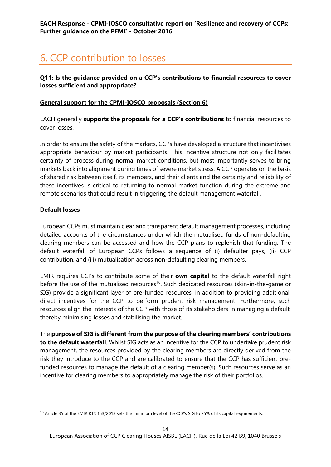### 6. CCP contribution to losses

**Q11: Is the guidance provided on a CCP's contributions to financial resources to cover losses sufficient and appropriate?**

#### **General support for the CPMI-IOSCO proposals (Section 6)**

EACH generally **supports the proposals for a CCP's contributions** to financial resources to cover losses.

In order to ensure the safety of the markets, CCPs have developed a structure that incentivises appropriate behaviour by market participants. This incentive structure not only facilitates certainty of process during normal market conditions, but most importantly serves to bring markets back into alignment during times of severe market stress. A CCP operates on the basis of shared risk between itself, its members, and their clients and the certainty and reliability of these incentives is critical to returning to normal market function during the extreme and remote scenarios that could result in triggering the default management waterfall.

#### **Default losses**

European CCPs must maintain clear and transparent default management processes, including detailed accounts of the circumstances under which the mutualised funds of non-defaulting clearing members can be accessed and how the CCP plans to replenish that funding. The default waterfall of European CCPs follows a sequence of (i) defaulter pays, (ii) CCP contribution, and (iii) mutualisation across non-defaulting clearing members.

EMIR requires CCPs to contribute some of their **own capital** to the default waterfall right before the use of the mutualised resources<sup>16</sup>. Such dedicated resources (skin-in-the-game or SIG) provide a significant layer of pre-funded resources, in addition to providing additional, direct incentives for the CCP to perform prudent risk management. Furthermore, such resources align the interests of the CCP with those of its stakeholders in managing a default, thereby minimising losses and stabilising the market.

The **purpose of SIG is different from the purpose of the clearing members' contributions to the default waterfall**. Whilst SIG acts as an incentive for the CCP to undertake prudent risk management, the resources provided by the clearing members are directly derived from the risk they introduce to the CCP and are calibrated to ensure that the CCP has sufficient prefunded resources to manage the default of a clearing member(s). Such resources serve as an incentive for clearing members to appropriately manage the risk of their portfolios.

<sup>16</sup> Article 35 of the EMIR RTS 153/2013 sets the minimum level of the CCP's SIG to 25% of its capital requirements.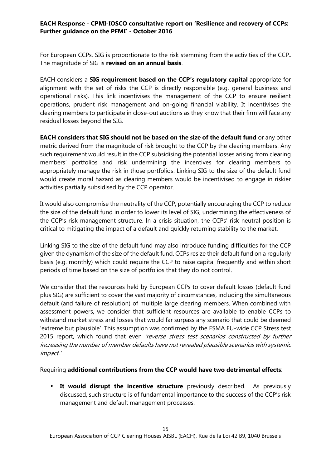For European CCPs, SIG is proportionate to the risk stemming from the activities of the CCP**.** The magnitude of SIG is **revised on an annual basis**.

EACH considers a **SIG requirement based on the CCP's regulatory capital** appropriate for alignment with the set of risks the CCP is directly responsible (e.g. general business and operational risks). This link incentivises the management of the CCP to ensure resilient operations, prudent risk management and on-going financial viability. It incentivises the clearing members to participate in close-out auctions as they know that their firm will face any residual losses beyond the SIG.

**EACH considers that SIG should not be based on the size of the default fund** or any other metric derived from the magnitude of risk brought to the CCP by the clearing members. Any such requirement would result in the CCP subsidising the potential losses arising from clearing members' portfolios and risk undermining the incentives for clearing members to appropriately manage the risk in those portfolios. Linking SIG to the size of the default fund would create moral hazard as clearing members would be incentivised to engage in riskier activities partially subsidised by the CCP operator.

It would also compromise the neutrality of the CCP, potentially encouraging the CCP to reduce the size of the default fund in order to lower its level of SIG, undermining the effectiveness of the CCP's risk management structure. In a crisis situation, the CCPs' risk neutral position is critical to mitigating the impact of a default and quickly returning stability to the market.

Linking SIG to the size of the default fund may also introduce funding difficulties for the CCP given the dynamism of the size of the default fund. CCPs resize their default fund on a regularly basis (e.g. monthly) which could require the CCP to raise capital frequently and within short periods of time based on the size of portfolios that they do not control.

We consider that the resources held by European CCPs to cover default losses (default fund plus SIG) are sufficient to cover the vast majority of circumstances, including the simultaneous default (and failure of resolution) of multiple large clearing members. When combined with assessment powers, we consider that sufficient resources are available to enable CCPs to withstand market stress and losses that would far surpass any scenario that could be deemed 'extreme but plausible'. This assumption was confirmed by the ESMA EU-wide CCP Stress test 2015 report, which found that even *'reverse stress test scenarios constructed by further increasing the number of member defaults have not revealed plausible scenarios with systemic impact.'*

Requiring **additional contributions from the CCP would have two detrimental effects**:

 **It would disrupt the incentive structure** previously described. As previously discussed, such structure is of fundamental importance to the success of the CCP's risk management and default management processes.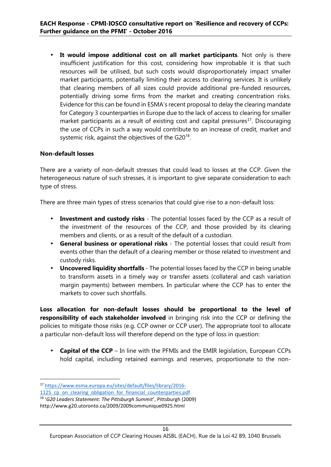**It would impose additional cost on all market participants**. Not only is there insufficient justification for this cost, considering how improbable it is that such resources will be utilised, but such costs would disproportionately impact smaller market participants, potentially limiting their access to clearing services. It is unlikely that clearing members of all sizes could provide additional pre-funded resources, potentially driving some firms from the market and creating concentration risks. Evidence for this can be found in ESMA's recent proposal to delay the clearing mandate for Category 3 counterparties in Europe due to the lack of access to clearing for smaller market participants as a result of existing cost and capital pressures<sup>17</sup>. Discouraging the use of CCPs in such a way would contribute to an increase of credit, market and systemic risk, against the objectives of the G20 $^{\rm 18}$ .

#### **Non-default losses**

There are a variety of non-default stresses that could lead to losses at the CCP. Given the heterogeneous nature of such stresses, it is important to give separate consideration to each type of stress.

There are three main types of stress scenarios that could give rise to a non-default loss:

- **Investment and custody risks** The potential losses faced by the CCP as a result of the investment of the resources of the CCP, and those provided by its clearing members and clients, or as a result of the default of a custodian.
- **General business or operational risks** The potential losses that could result from events other than the default of a clearing member or those related to investment and custody risks.
- **Uncovered liquidity shortfalls** The potential losses faced by the CCP in being unable to transform assets in a timely way or transfer assets (collateral and cash variation margin payments) between members. In particular where the CCP has to enter the markets to cover such shortfalls.

**Loss allocation for non-default losses should be proportional to the level of responsibility of each stakeholder involved** in bringing risk into the CCP or defining the policies to mitigate those risks (e.g. CCP owner or CCP user). The appropriate tool to allocate a particular non-default loss will therefore depend on the type of loss in question:

 **Capital of the CCP** – In line with the PFMIs and the EMIR legislation, European CCPs hold capital, including retained earnings and reserves, proportionate to the non-

<sup>17</sup> https://www.esma.europa.eu/sites/default/files/library/2016-

<sup>1125</sup> cp\_on\_clearing\_obligation\_for\_financial\_counterparties.pdf

<sup>18</sup> '*G20 Leaders Statement: The Pittsburgh Summit*', Pittsburgh (2009)

http://www.g20.utoronto.ca/2009/2009communique0925.html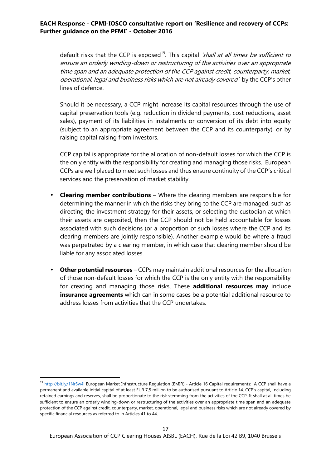default risks that the CCP is exposed<sup>19</sup>. This capital *'shall at all times be sufficient to ensure an orderly winding-down or restructuring of the activities over an appropriate time span and an adequate protection of the CCP against credit, counterparty, market, operational, legal and business risks which are not already covered'* by the CCP's other lines of defence.

Should it be necessary, a CCP might increase its capital resources through the use of capital preservation tools (e.g. reduction in dividend payments, cost reductions, asset sales), payment of its liabilities in instalments or conversion of its debt into equity (subject to an appropriate agreement between the CCP and its counterparty), or by raising capital raising from investors.

CCP capital is appropriate for the allocation of non-default losses for which the CCP is the only entity with the responsibility for creating and managing those risks. European CCPs are well placed to meet such losses and thus ensure continuity of the CCP's critical services and the preservation of market stability.

- **Clearing member contributions** Where the clearing members are responsible for determining the manner in which the risks they bring to the CCP are managed, such as directing the investment strategy for their assets, or selecting the custodian at which their assets are deposited, then the CCP should not be held accountable for losses associated with such decisions (or a proportion of such losses where the CCP and its clearing members are jointly responsible). Another example would be where a fraud was perpetrated by a clearing member, in which case that clearing member should be liable for any associated losses.
- **Other potential resources** CCPs may maintain additional resources for the allocation of those non-default losses for which the CCP is the only entity with the responsibility for creating and managing those risks. These **additional resources may** include **insurance agreements** which can in some cases be a potential additional resource to address losses from activities that the CCP undertakes.

<sup>&</sup>lt;sup>19</sup> http://bit.ly/1Nr5w4l European Market Infrastructure Regulation (EMIR) - Article 16 Capital requirements: A CCP shall have a permanent and available initial capital of at least EUR 7,5 million to be authorised pursuant to Article 14. CCP's capital, including retained earnings and reserves, shall be proportionate to the risk stemming from the activities of the CCP. It shall at all times be sufficient to ensure an orderly winding-down or restructuring of the activities over an appropriate time span and an adequate protection of the CCP against credit, counterparty, market, operational, legal and business risks which are not already covered by specific financial resources as referred to in Articles 41 to 44.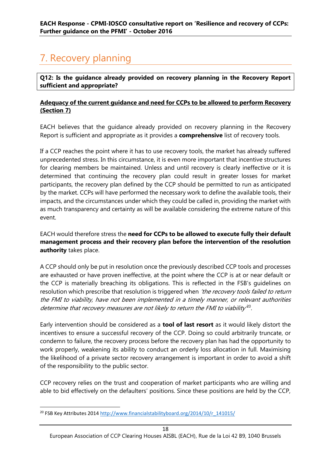## 7. Recovery planning

**Q12: Is the guidance already provided on recovery planning in the Recovery Report sufficient and appropriate?**

#### **Adequacy of the current guidance and need for CCPs to be allowed to perform Recovery (Section 7)**

EACH believes that the guidance already provided on recovery planning in the Recovery Report is sufficient and appropriate as it provides a **comprehensive** list of recovery tools.

If a CCP reaches the point where it has to use recovery tools, the market has already suffered unprecedented stress. In this circumstance, it is even more important that incentive structures for clearing members be maintained. Unless and until recovery is clearly ineffective or it is determined that continuing the recovery plan could result in greater losses for market participants, the recovery plan defined by the CCP should be permitted to run as anticipated by the market. CCPs will have performed the necessary work to define the available tools, their impacts, and the circumstances under which they could be called in, providing the market with as much transparency and certainty as will be available considering the extreme nature of this event.

EACH would therefore stress the **need for CCPs to be allowed to execute fully their default management process and their recovery plan before the intervention of the resolution authority** takes place.

A CCP should only be put in resolution once the previously described CCP tools and processes are exhausted or have proven ineffective, at the point where the CCP is at or near default or the CCP is materially breaching its obligations. This is reflected in the FSB's guidelines on resolution which prescribe that resolution is triggered when *'the recovery tools failed to return the FMI to viability, have not been implemented in a timely manner, or relevant authorities determine that recovery measures are not likely to return the FMI to viability'*<sup>20</sup> .

Early intervention should be considered as a **tool of last resort** as it would likely distort the incentives to ensure a successful recovery of the CCP. Doing so could arbitrarily truncate, or condemn to failure, the recovery process before the recovery plan has had the opportunity to work properly, weakening its ability to conduct an orderly loss allocation in full. Maximising the likelihood of a private sector recovery arrangement is important in order to avoid a shift of the responsibility to the public sector.

CCP recovery relies on the trust and cooperation of market participants who are willing and able to bid effectively on the defaulters' positions. Since these positions are held by the CCP,

<sup>&</sup>lt;sup>20</sup> FSB Key Attributes 2014 http://www.financialstabilityboard.org/2014/10/r\_141015/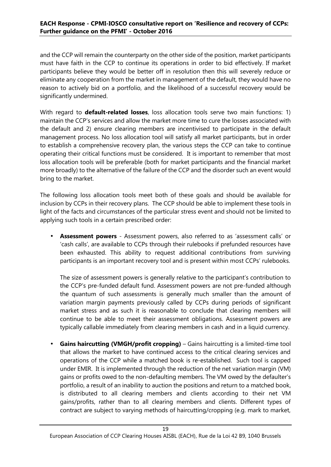#### **EACH Response - CPMI-IOSCO consultative report on 'Resilience and recovery of CCPs: Further guidance on the PFMI' - October 2016**

and the CCP will remain the counterparty on the other side of the position, market participants must have faith in the CCP to continue its operations in order to bid effectively. If market participants believe they would be better off in resolution then this will severely reduce or eliminate any cooperation from the market in management of the default, they would have no reason to actively bid on a portfolio, and the likelihood of a successful recovery would be significantly undermined.

With regard to **default-related losses**, loss allocation tools serve two main functions: 1) maintain the CCP's services and allow the market more time to cure the losses associated with the default and 2) ensure clearing members are incentivised to participate in the default management process. No loss allocation tool will satisfy all market participants, but in order to establish a comprehensive recovery plan, the various steps the CCP can take to continue operating their critical functions must be considered. It is important to remember that most loss allocation tools will be preferable (both for market participants and the financial market more broadly) to the alternative of the failure of the CCP and the disorder such an event would bring to the market.

The following loss allocation tools meet both of these goals and should be available for inclusion by CCPs in their recovery plans. The CCP should be able to implement these tools in light of the facts and circumstances of the particular stress event and should not be limited to applying such tools in a certain prescribed order:

 **Assessment powers** - Assessment powers, also referred to as 'assessment calls' or 'cash calls', are available to CCPs through their rulebooks if prefunded resources have been exhausted. This ability to request additional contributions from surviving participants is an important recovery tool and is present within most CCPs' rulebooks.

The size of assessment powers is generally relative to the participant's contribution to the CCP's pre-funded default fund. Assessment powers are not pre-funded although the quantum of such assessments is generally much smaller than the amount of variation margin payments previously called by CCPs during periods of significant market stress and as such it is reasonable to conclude that clearing members will continue to be able to meet their assessment obligations. Assessment powers are typically callable immediately from clearing members in cash and in a liquid currency.

 **Gains haircutting (VMGH/profit cropping)** – Gains haircutting is a limited-time tool that allows the market to have continued access to the critical clearing services and operations of the CCP while a matched book is re-established. Such tool is capped under EMIR. It is implemented through the reduction of the net variation margin (VM) gains or profits owed to the non-defaulting members. The VM owed by the defaulter's portfolio, a result of an inability to auction the positions and return to a matched book, is distributed to all clearing members and clients according to their net VM gains/profits, rather than to all clearing members and clients. Different types of contract are subject to varying methods of haircutting/cropping (e.g. mark to market,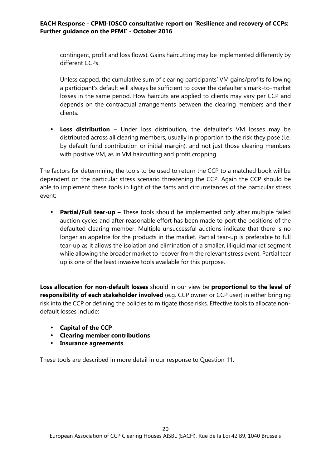contingent, profit and loss flows). Gains haircutting may be implemented differently by different CCPs.

Unless capped, the cumulative sum of clearing participants' VM gains/profits following a participant's default will always be sufficient to cover the defaulter's mark-to-market losses in the same period. How haircuts are applied to clients may vary per CCP and depends on the contractual arrangements between the clearing members and their clients.

 **Loss distribution** – Under loss distribution, the defaulter's VM losses may be distributed across all clearing members, usually in proportion to the risk they pose (i.e. by default fund contribution or initial margin), and not just those clearing members with positive VM, as in VM haircutting and profit cropping.

The factors for determining the tools to be used to return the CCP to a matched book will be dependent on the particular stress scenario threatening the CCP. Again the CCP should be able to implement these tools in light of the facts and circumstances of the particular stress event:

• Partial/Full tear-up – These tools should be implemented only after multiple failed auction cycles and after reasonable effort has been made to port the positions of the defaulted clearing member. Multiple unsuccessful auctions indicate that there is no longer an appetite for the products in the market. Partial tear-up is preferable to full tear-up as it allows the isolation and elimination of a smaller, illiquid market segment while allowing the broader market to recover from the relevant stress event. Partial tear up is one of the least invasive tools available for this purpose.

Loss allocation for non-default losses should in our view be proportional to the level of **responsibility of each stakeholder involved** (e.g. CCP owner or CCP user) in either bringing risk into the CCP or defining the policies to mitigate those risks. Effective tools to allocate non default losses include:

- **Capital of the CCP**
- **Clearing member contributions**
- **Insurance agreements**

These tools are described in more detail in our response to Question 11.